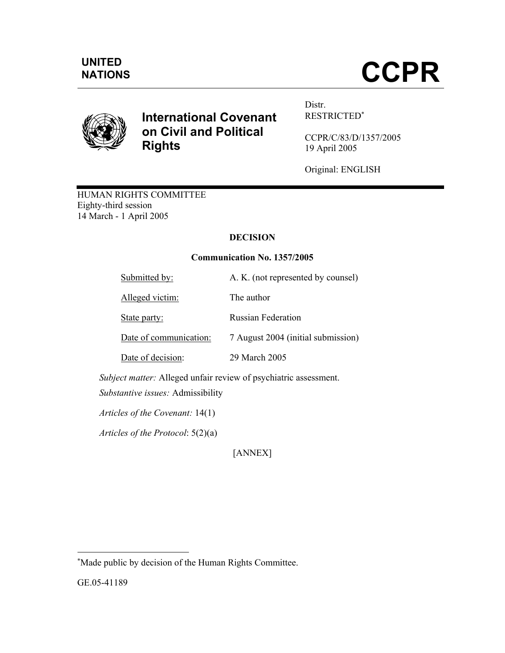# NATIONS **CCPR**



# **International Covenant on Civil and Political Rights**

Distr. RESTRICTED<sup>∗</sup>

CCPR/C/83/D/1357/2005 19 April 2005

Original: ENGLISH

HUMAN RIGHTS COMMITTEE Eighty-third session 14 March - 1 April 2005

# **DECISION**

# **Communication No. 1357/2005**

| Submitted by:          | A. K. (not represented by counsel) |
|------------------------|------------------------------------|
| Alleged victim:        | The author                         |
| State party:           | <b>Russian Federation</b>          |
| Date of communication: | 7 August 2004 (initial submission) |
| Date of decision:      | 29 March 2005                      |
|                        |                                    |

 *Subject matter:* Alleged unfair review of psychiatric assessment.

 *Substantive issues:* Admissibility

 *Articles of the Covenant:* 14(1)

*Articles of the Protocol*: 5(2)(a)

[ANNEX]

GE.05-41189

-

<sup>∗</sup> Made public by decision of the Human Rights Committee.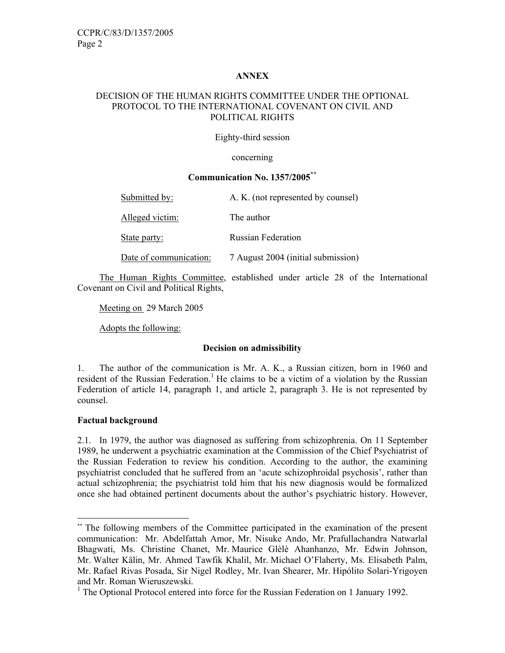#### **ANNEX**

## DECISION OF THE HUMAN RIGHTS COMMITTEE UNDER THE OPTIONAL PROTOCOL TO THE INTERNATIONAL COVENANT ON CIVIL AND POLITICAL RIGHTS

#### Eighty-third session

concerning

#### **Communication No. 1357/2005\*\***

| Submitted by:          | A. K. (not represented by counsel) |
|------------------------|------------------------------------|
| Alleged victim:        | The author                         |
| State party:           | <b>Russian Federation</b>          |
| Date of communication: | 7 August 2004 (initial submission) |

 The Human Rights Committee, established under article 28 of the International Covenant on Civil and Political Rights,

Meeting on 29 March 2005

Adopts the following:

#### **Decision on admissibility**

1. The author of the communication is Mr. A. K., a Russian citizen, born in 1960 and resident of the Russian Federation.<sup>1</sup> He claims to be a victim of a violation by the Russian Federation of article 14, paragraph 1, and article 2, paragraph 3. He is not represented by counsel.

#### **Factual background**

-

2.1. In 1979, the author was diagnosed as suffering from schizophrenia. On 11 September 1989, he underwent a psychiatric examination at the Commission of the Chief Psychiatrist of the Russian Federation to review his condition. According to the author, the examining psychiatrist concluded that he suffered from an 'acute schizophroidal psychosis', rather than actual schizophrenia; the psychiatrist told him that his new diagnosis would be formalized once she had obtained pertinent documents about the author's psychiatric history. However,

<sup>\*\*</sup> The following members of the Committee participated in the examination of the present communication: Mr. Abdelfattah Amor, Mr. Nisuke Ando, Mr. Prafullachandra Natwarlal Bhagwati, Ms. Christine Chanet, Mr. Maurice Glèlè Ahanhanzo, Mr. Edwin Johnson, Mr. Walter Kälin, Mr. Ahmed Tawfik Khalil, Mr. Michael O'Flaherty, Ms. Elisabeth Palm, Mr. Rafael Rivas Posada, Sir Nigel Rodley, Mr. Ivan Shearer, Mr. Hipólito Solari-Yrigoyen and Mr. Roman Wieruszewski.

<sup>&</sup>lt;sup>1</sup> The Optional Protocol entered into force for the Russian Federation on 1 January 1992.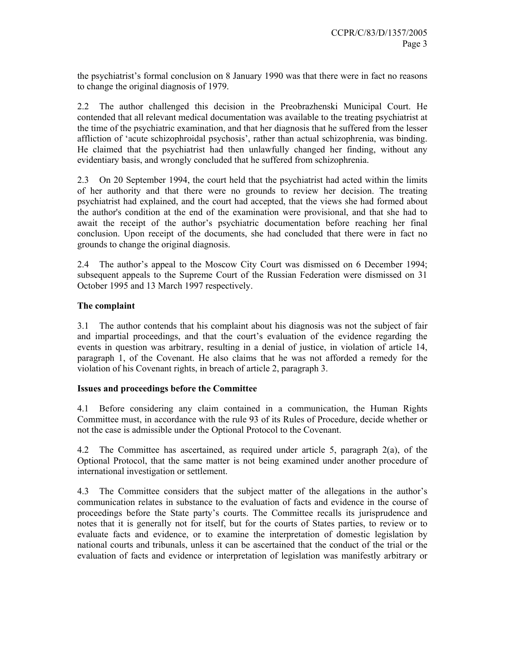the psychiatrist's formal conclusion on 8 January 1990 was that there were in fact no reasons to change the original diagnosis of 1979.

2.2 The author challenged this decision in the Preobrazhenski Municipal Court. He contended that all relevant medical documentation was available to the treating psychiatrist at the time of the psychiatric examination, and that her diagnosis that he suffered from the lesser affliction of 'acute schizophroidal psychosis', rather than actual schizophrenia, was binding. He claimed that the psychiatrist had then unlawfully changed her finding, without any evidentiary basis, and wrongly concluded that he suffered from schizophrenia.

2.3 On 20 September 1994, the court held that the psychiatrist had acted within the limits of her authority and that there were no grounds to review her decision. The treating psychiatrist had explained, and the court had accepted, that the views she had formed about the author's condition at the end of the examination were provisional, and that she had to await the receipt of the author's psychiatric documentation before reaching her final conclusion. Upon receipt of the documents, she had concluded that there were in fact no grounds to change the original diagnosis.

2.4 The author's appeal to the Moscow City Court was dismissed on 6 December 1994; subsequent appeals to the Supreme Court of the Russian Federation were dismissed on 31 October 1995 and 13 March 1997 respectively.

## **The complaint**

3.1 The author contends that his complaint about his diagnosis was not the subject of fair and impartial proceedings, and that the court's evaluation of the evidence regarding the events in question was arbitrary, resulting in a denial of justice, in violation of article 14, paragraph 1, of the Covenant. He also claims that he was not afforded a remedy for the violation of his Covenant rights, in breach of article 2, paragraph 3.

#### **Issues and proceedings before the Committee**

4.1 Before considering any claim contained in a communication, the Human Rights Committee must, in accordance with the rule 93 of its Rules of Procedure, decide whether or not the case is admissible under the Optional Protocol to the Covenant.

4.2 The Committee has ascertained, as required under article 5, paragraph 2(a), of the Optional Protocol, that the same matter is not being examined under another procedure of international investigation or settlement.

4.3 The Committee considers that the subject matter of the allegations in the author's communication relates in substance to the evaluation of facts and evidence in the course of proceedings before the State party's courts. The Committee recalls its jurisprudence and notes that it is generally not for itself, but for the courts of States parties, to review or to evaluate facts and evidence, or to examine the interpretation of domestic legislation by national courts and tribunals, unless it can be ascertained that the conduct of the trial or the evaluation of facts and evidence or interpretation of legislation was manifestly arbitrary or